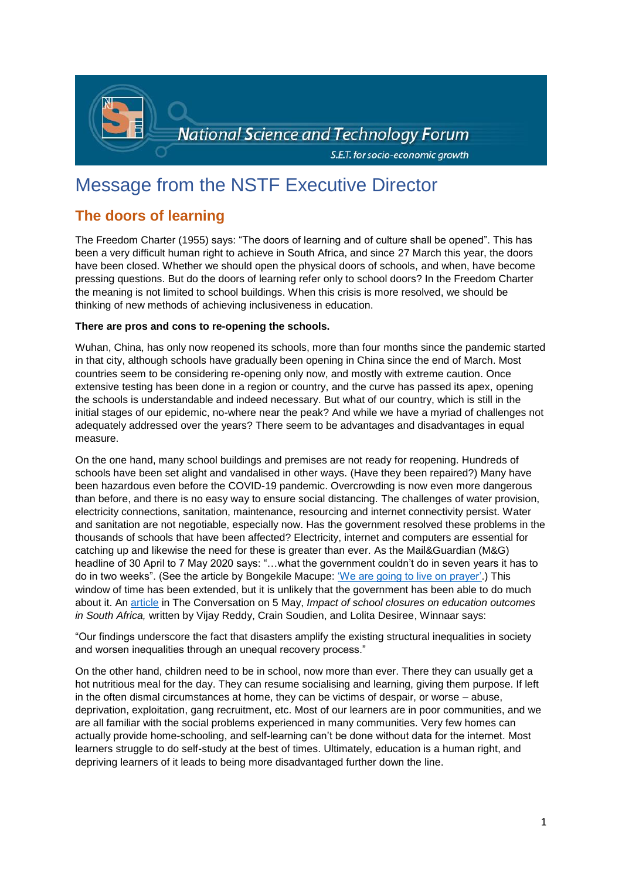

# Message from the NSTF Executive Director

## **The doors of learning**

The Freedom Charter (1955) says: "The doors of learning and of culture shall be opened". This has been a very difficult human right to achieve in South Africa, and since 27 March this year, the doors have been closed. Whether we should open the physical doors of schools, and when, have become pressing questions. But do the doors of learning refer only to school doors? In the Freedom Charter the meaning is not limited to school buildings. When this crisis is more resolved, we should be thinking of new methods of achieving inclusiveness in education.

### **There are pros and cons to re-opening the schools.**

Wuhan, China, has only now reopened its schools, more than four months since the pandemic started in that city, although schools have gradually been opening in China since the end of March. Most countries seem to be considering re-opening only now, and mostly with extreme caution. Once extensive testing has been done in a region or country, and the curve has passed its apex, opening the schools is understandable and indeed necessary. But what of our country, which is still in the initial stages of our epidemic, no-where near the peak? And while we have a myriad of challenges not adequately addressed over the years? There seem to be advantages and disadvantages in equal measure.

On the one hand, many school buildings and premises are not ready for reopening. Hundreds of schools have been set alight and vandalised in other ways. (Have they been repaired?) Many have been hazardous even before the COVID-19 pandemic. Overcrowding is now even more dangerous than before, and there is no easy way to ensure social distancing. The challenges of water provision, electricity connections, sanitation, maintenance, resourcing and internet connectivity persist. Water and sanitation are not negotiable, especially now. Has the government resolved these problems in the thousands of schools that have been affected? Electricity, internet and computers are essential for catching up and likewise the need for these is greater than ever. As the Mail&Guardian (M&G) headline of 30 April to 7 May 2020 says: "…what the government couldn't do in seven years it has to do in two weeks". (See the article by Bongekile Macupe: ['We are going to live on prayer'.](https://mg.co.za/article/2020-04-29-we-are-going-to-live-on-prayer/)) This window of time has been extended, but it is unlikely that the government has been able to do much about it. An [article](https://theconversation.com/impact-of-school-closures-on-education-outcomes-in-south-africa-136889) in The Conversation on 5 May, *Impact of school closures on education outcomes in South Africa,* written by Vijay Reddy, Crain Soudien, and Lolita Desiree, Winnaar says:

"Our findings underscore the fact that disasters amplify the existing structural inequalities in society and worsen inequalities through an unequal recovery process."

On the other hand, children need to be in school, now more than ever. There they can usually get a hot nutritious meal for the day. They can resume socialising and learning, giving them purpose. If left in the often dismal circumstances at home, they can be victims of despair, or worse – abuse, deprivation, exploitation, gang recruitment, etc. Most of our learners are in poor communities, and we are all familiar with the social problems experienced in many communities. Very few homes can actually provide home-schooling, and self-learning can't be done without data for the internet. Most learners struggle to do self-study at the best of times. Ultimately, education is a human right, and depriving learners of it leads to being more disadvantaged further down the line.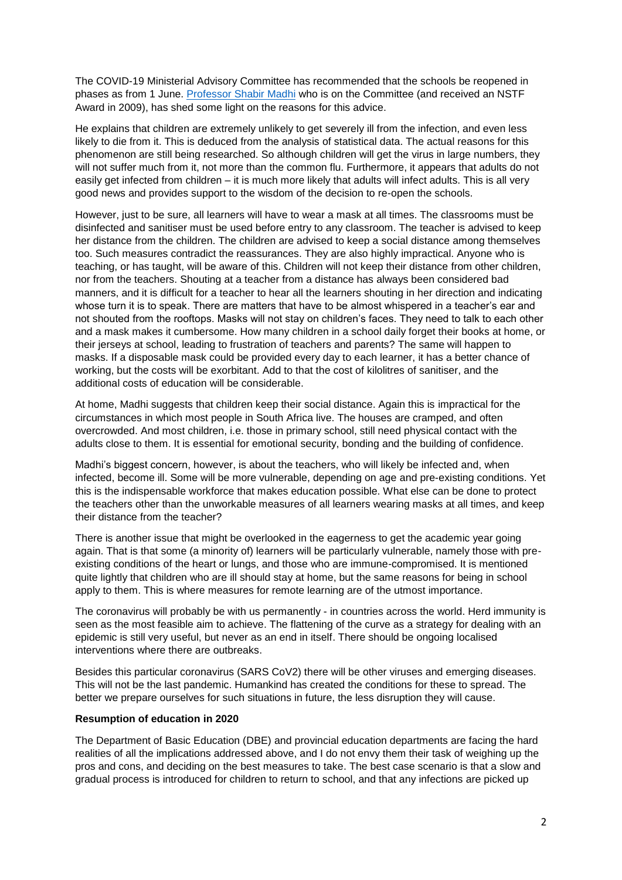The COVID-19 Ministerial Advisory Committee has recommended that the schools be reopened in phases as from 1 June. Professor [Shabir Madhi](https://www.dailymaverick.co.za/article/2020-05-11-flawed-lockdown-has-served-its-purpose-and-should-be-discontinued/?utm_medium=email&utm_campaign=First%20Thing%20Monday%2011%20May%202020%20Investec%20AM&utm_content=First%20Thing%20Monday%2011%20May%202020%20Investec%20AM+CID_1e9e2543280b8fd011740bc8ad1b3a76&utm_source=TouchBasePro&utm_term=Flawed%20lockdown%20has%20served%20its%20purpose%20and%20should%20be%20discontinued) who is on the Committee (and received an NSTF Award in 2009), has shed some light on the reasons for this advice.

He explains that children are extremely unlikely to get severely ill from the infection, and even less likely to die from it. This is deduced from the analysis of statistical data. The actual reasons for this phenomenon are still being researched. So although children will get the virus in large numbers, they will not suffer much from it, not more than the common flu. Furthermore, it appears that adults do not easily get infected from children – it is much more likely that adults will infect adults. This is all very good news and provides support to the wisdom of the decision to re-open the schools.

However, just to be sure, all learners will have to wear a mask at all times. The classrooms must be disinfected and sanitiser must be used before entry to any classroom. The teacher is advised to keep her distance from the children. The children are advised to keep a social distance among themselves too. Such measures contradict the reassurances. They are also highly impractical. Anyone who is teaching, or has taught, will be aware of this. Children will not keep their distance from other children, nor from the teachers. Shouting at a teacher from a distance has always been considered bad manners, and it is difficult for a teacher to hear all the learners shouting in her direction and indicating whose turn it is to speak. There are matters that have to be almost whispered in a teacher's ear and not shouted from the rooftops. Masks will not stay on children's faces. They need to talk to each other and a mask makes it cumbersome. How many children in a school daily forget their books at home, or their jerseys at school, leading to frustration of teachers and parents? The same will happen to masks. If a disposable mask could be provided every day to each learner, it has a better chance of working, but the costs will be exorbitant. Add to that the cost of kilolitres of sanitiser, and the additional costs of education will be considerable.

At home, Madhi suggests that children keep their social distance. Again this is impractical for the circumstances in which most people in South Africa live. The houses are cramped, and often overcrowded. And most children, i.e. those in primary school, still need physical contact with the adults close to them. It is essential for emotional security, bonding and the building of confidence.

Madhi's biggest concern, however, is about the teachers, who will likely be infected and, when infected, become ill. Some will be more vulnerable, depending on age and pre-existing conditions. Yet this is the indispensable workforce that makes education possible. What else can be done to protect the teachers other than the unworkable measures of all learners wearing masks at all times, and keep their distance from the teacher?

There is another issue that might be overlooked in the eagerness to get the academic year going again. That is that some (a minority of) learners will be particularly vulnerable, namely those with preexisting conditions of the heart or lungs, and those who are immune-compromised. It is mentioned quite lightly that children who are ill should stay at home, but the same reasons for being in school apply to them. This is where measures for remote learning are of the utmost importance.

The coronavirus will probably be with us permanently - in countries across the world. Herd immunity is seen as the most feasible aim to achieve. The flattening of the curve as a strategy for dealing with an epidemic is still very useful, but never as an end in itself. There should be ongoing localised interventions where there are outbreaks.

Besides this particular coronavirus (SARS CoV2) there will be other viruses and emerging diseases. This will not be the last pandemic. Humankind has created the conditions for these to spread. The better we prepare ourselves for such situations in future, the less disruption they will cause.

#### **Resumption of education in 2020**

The Department of Basic Education (DBE) and provincial education departments are facing the hard realities of all the implications addressed above, and I do not envy them their task of weighing up the pros and cons, and deciding on the best measures to take. The best case scenario is that a slow and gradual process is introduced for children to return to school, and that any infections are picked up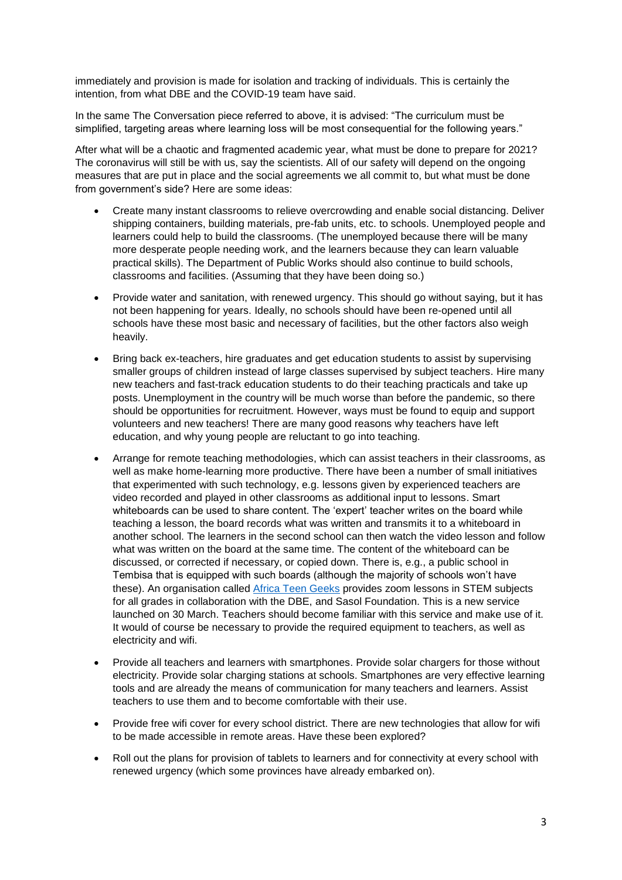immediately and provision is made for isolation and tracking of individuals. This is certainly the intention, from what DBE and the COVID-19 team have said.

In the same The Conversation piece referred to above, it is advised: "The curriculum must be simplified, targeting areas where learning loss will be most consequential for the following years."

After what will be a chaotic and fragmented academic year, what must be done to prepare for 2021? The coronavirus will still be with us, say the scientists. All of our safety will depend on the ongoing measures that are put in place and the social agreements we all commit to, but what must be done from government's side? Here are some ideas:

- Create many instant classrooms to relieve overcrowding and enable social distancing. Deliver shipping containers, building materials, pre-fab units, etc. to schools. Unemployed people and learners could help to build the classrooms. (The unemployed because there will be many more desperate people needing work, and the learners because they can learn valuable practical skills). The Department of Public Works should also continue to build schools, classrooms and facilities. (Assuming that they have been doing so.)
- Provide water and sanitation, with renewed urgency. This should go without saying, but it has not been happening for years. Ideally, no schools should have been re-opened until all schools have these most basic and necessary of facilities, but the other factors also weigh heavily.
- Bring back ex-teachers, hire graduates and get education students to assist by supervising smaller groups of children instead of large classes supervised by subject teachers. Hire many new teachers and fast-track education students to do their teaching practicals and take up posts. Unemployment in the country will be much worse than before the pandemic, so there should be opportunities for recruitment. However, ways must be found to equip and support volunteers and new teachers! There are many good reasons why teachers have left education, and why young people are reluctant to go into teaching.
- Arrange for remote teaching methodologies, which can assist teachers in their classrooms, as well as make home-learning more productive. There have been a number of small initiatives that experimented with such technology, e.g. lessons given by experienced teachers are video recorded and played in other classrooms as additional input to lessons. Smart whiteboards can be used to share content. The 'expert' teacher writes on the board while teaching a lesson, the board records what was written and transmits it to a whiteboard in another school. The learners in the second school can then watch the video lesson and follow what was written on the board at the same time. The content of the whiteboard can be discussed, or corrected if necessary, or copied down. There is, e.g., a public school in Tembisa that is equipped with such boards (although the majority of schools won't have these). An organisation called [Africa Teen Geeks](https://africateengeeks.co.za/) provides zoom lessons in STEM subjects for all grades in collaboration with the DBE, and Sasol Foundation. This is a new service launched on 30 March. Teachers should become familiar with this service and make use of it. It would of course be necessary to provide the required equipment to teachers, as well as electricity and wifi.
- Provide all teachers and learners with smartphones. Provide solar chargers for those without electricity. Provide solar charging stations at schools. Smartphones are very effective learning tools and are already the means of communication for many teachers and learners. Assist teachers to use them and to become comfortable with their use.
- Provide free wifi cover for every school district. There are new technologies that allow for wifi to be made accessible in remote areas. Have these been explored?
- Roll out the plans for provision of tablets to learners and for connectivity at every school with renewed urgency (which some provinces have already embarked on).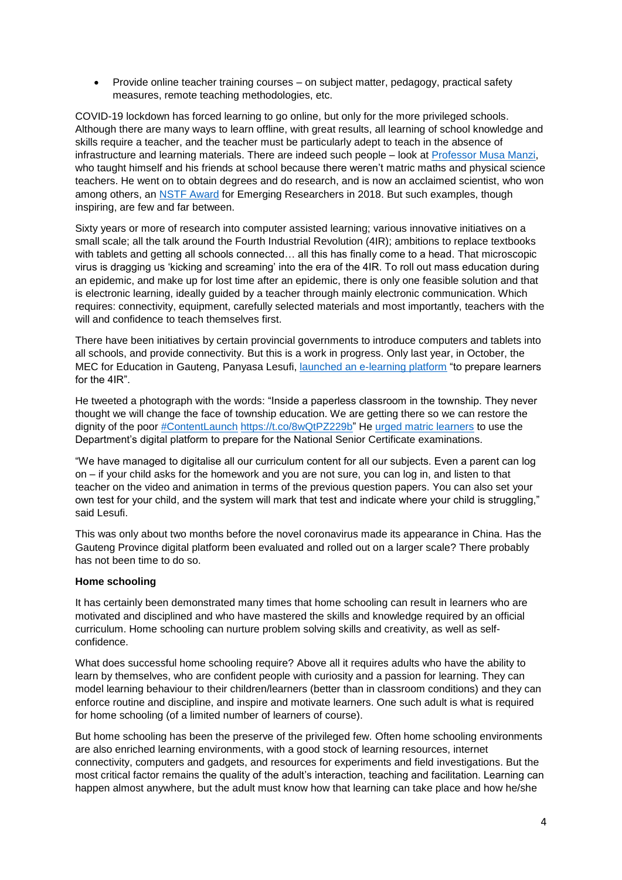Provide online teacher training courses – on subject matter, pedagogy, practical safety measures, remote teaching methodologies, etc.

COVID-19 lockdown has forced learning to go online, but only for the more privileged schools. Although there are many ways to learn offline, with great results, all learning of school knowledge and skills require a teacher, and the teacher must be particularly adept to teach in the absence of infrastructure and learning materials. There are indeed such people – look at Professor [Musa Manzi,](https://www.thislifeonline.co.za/guy-who-got-100percent-maths/) who taught himself and his friends at school because there weren't matric maths and physical science teachers. He went on to obtain degrees and do research, and is now an acclaimed scientist, who won among others, an [NSTF Award](http://www.nstf.org.za/wp-content/uploads/2019/06/18PressRelease.pdf) for Emerging Researchers in 2018. But such examples, though inspiring, are few and far between.

Sixty years or more of research into computer assisted learning; various innovative initiatives on a small scale; all the talk around the Fourth Industrial Revolution (4IR); ambitions to replace textbooks with tablets and getting all schools connected… all this has finally come to a head. That microscopic virus is dragging us 'kicking and screaming' into the era of the 4IR. To roll out mass education during an epidemic, and make up for lost time after an epidemic, there is only one feasible solution and that is electronic learning, ideally guided by a teacher through mainly electronic communication. Which requires: connectivity, equipment, carefully selected materials and most importantly, teachers with the will and confidence to teach themselves first.

There have been initiatives by certain provincial governments to introduce computers and tablets into all schools, and provide connectivity. But this is a work in progress. Only last year, in October, the MEC for Education in Gauteng, Panyasa Lesufi, [launched an e-learning platform](https://ewn.co.za/2019/10/11/lesufi-launches-e-learning-platform-to-prep-learners-for-4ir) "to prepare learners for the 4IR".

He tweeted a photograph with the words: "Inside a paperless classroom in the township. They never thought we will change the face of township education. We are getting there so we can restore the dignity of the poor [#ContentLaunch](https://twitter.com/hashtag/ContentLaunch?src=hash) [https://t.co/8wQtPZ229b"](https://t.co/8wQtPZ229b) He [urged matric learners](https://www.sabcnews.com/sabcnews/lesufi-urges-gauteng-matric-learners-to-use-e-learning-as-exams-loom/) to use the Department's digital platform to prepare for the National Senior Certificate examinations.

"We have managed to digitalise all our curriculum content for all our subjects. Even a parent can log on – if your child asks for the homework and you are not sure, you can log in, and listen to that teacher on the video and animation in terms of the previous question papers. You can also set your own test for your child, and the system will mark that test and indicate where your child is struggling," said Lesufi.

This was only about two months before the novel coronavirus made its appearance in China. Has the Gauteng Province digital platform been evaluated and rolled out on a larger scale? There probably has not been time to do so.

#### **Home schooling**

It has certainly been demonstrated many times that home schooling can result in learners who are motivated and disciplined and who have mastered the skills and knowledge required by an official curriculum. Home schooling can nurture problem solving skills and creativity, as well as selfconfidence.

What does successful home schooling require? Above all it requires adults who have the ability to learn by themselves, who are confident people with curiosity and a passion for learning. They can model learning behaviour to their children/learners (better than in classroom conditions) and they can enforce routine and discipline, and inspire and motivate learners. One such adult is what is required for home schooling (of a limited number of learners of course).

But home schooling has been the preserve of the privileged few. Often home schooling environments are also enriched learning environments, with a good stock of learning resources, internet connectivity, computers and gadgets, and resources for experiments and field investigations. But the most critical factor remains the quality of the adult's interaction, teaching and facilitation. Learning can happen almost anywhere, but the adult must know how that learning can take place and how he/she